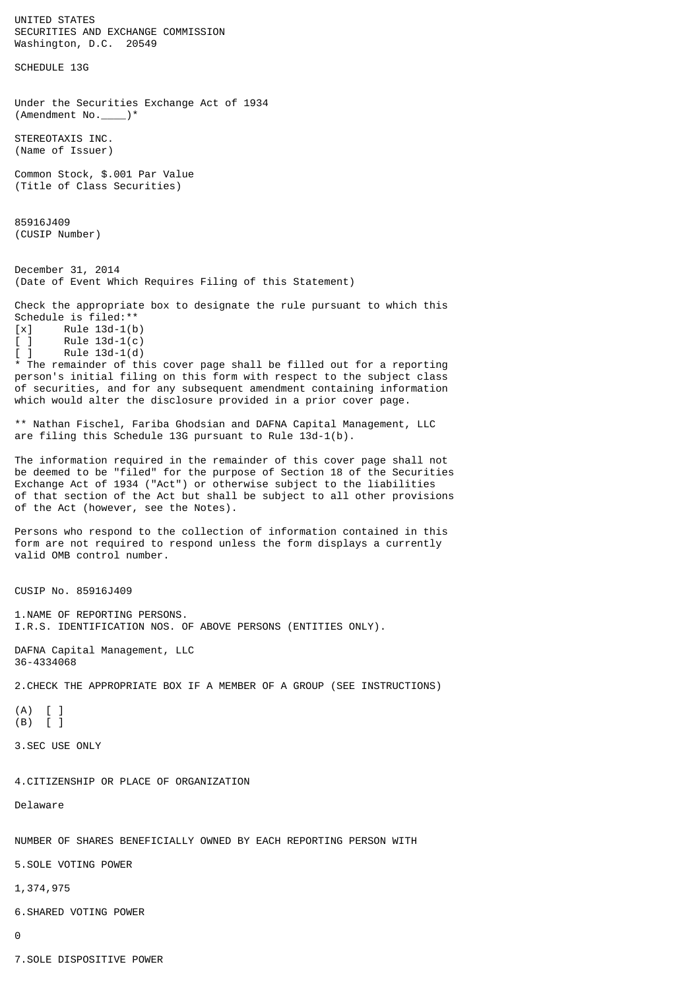UNITED STATES SECURITIES AND EXCHANGE COMMISSION Washington, D.C. 20549 SCHEDULE 13G Under the Securities Exchange Act of 1934 (Amendment No.\_\_\_\_)\* STEREOTAXIS INC. (Name of Issuer) Common Stock, \$.001 Par Value (Title of Class Securities) 85916J409 (CUSIP Number) December 31, 2014 (Date of Event Which Requires Filing of this Statement) Check the appropriate box to designate the rule pursuant to which this Schedule is filed:\*\*  $[x]$  Rule 13d-1(b)<br> $[ ]$  Rule 13d-1(c)  $[ ]$  Rule 13d-1(c)  $[ ]$  Rule 13d-1(d) \* The remainder of this cover page shall be filled out for a reporting person's initial filing on this form with respect to the subject class of securities, and for any subsequent amendment containing information which would alter the disclosure provided in a prior cover page. \*\* Nathan Fischel, Fariba Ghodsian and DAFNA Capital Management, LLC are filing this Schedule 13G pursuant to Rule 13d-1(b). The information required in the remainder of this cover page shall not be deemed to be "filed" for the purpose of Section 18 of the Securities Exchange Act of 1934 ("Act") or otherwise subject to the liabilities of that section of the Act but shall be subject to all other provisions of the Act (however, see the Notes). Persons who respond to the collection of information contained in this form are not required to respond unless the form displays a currently valid OMB control number. CUSIP No. 85916J409 1.NAME OF REPORTING PERSONS. I.R.S. IDENTIFICATION NOS. OF ABOVE PERSONS (ENTITIES ONLY). DAFNA Capital Management, LLC 36-4334068 2.CHECK THE APPROPRIATE BOX IF A MEMBER OF A GROUP (SEE INSTRUCTIONS) (A) [ ] (B) [ ] 3.SEC USE ONLY 4.CITIZENSHIP OR PLACE OF ORGANIZATION Delaware NUMBER OF SHARES BENEFICIALLY OWNED BY EACH REPORTING PERSON WITH 5.SOLE VOTING POWER 1,374,975 6.SHARED VOTING POWER 0

7.SOLE DISPOSITIVE POWER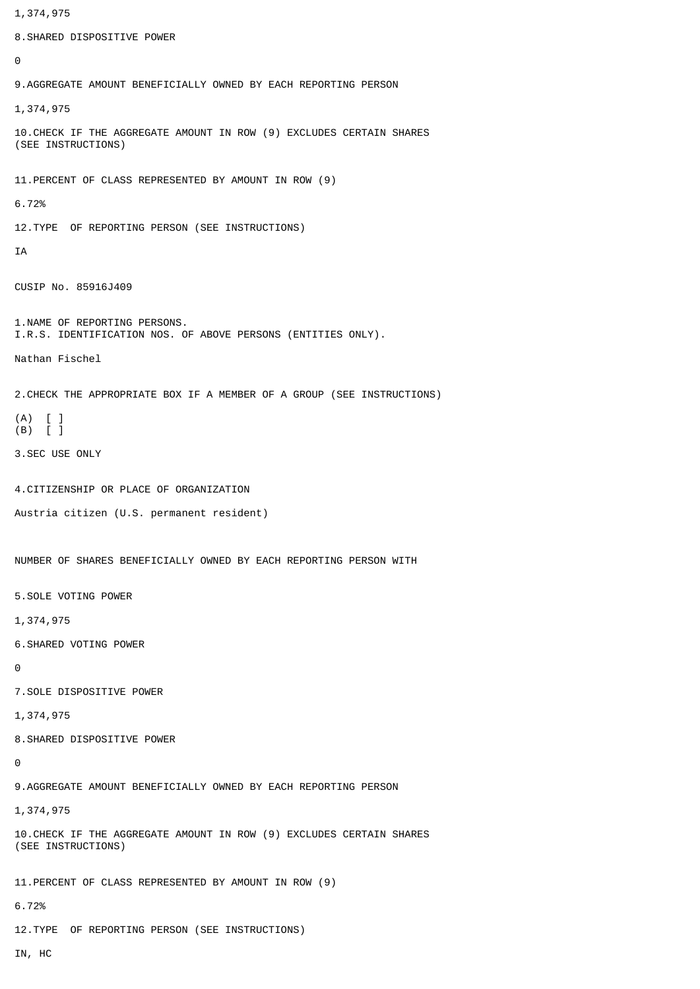1,374,975 8.SHARED DISPOSITIVE POWER  $\Omega$ 9.AGGREGATE AMOUNT BENEFICIALLY OWNED BY EACH REPORTING PERSON 1,374,975 10.CHECK IF THE AGGREGATE AMOUNT IN ROW (9) EXCLUDES CERTAIN SHARES (SEE INSTRUCTIONS) 11.PERCENT OF CLASS REPRESENTED BY AMOUNT IN ROW (9) 6.72% 12.TYPE OF REPORTING PERSON (SEE INSTRUCTIONS) IA CUSIP No. 85916J409 1.NAME OF REPORTING PERSONS. I.R.S. IDENTIFICATION NOS. OF ABOVE PERSONS (ENTITIES ONLY). Nathan Fischel 2.CHECK THE APPROPRIATE BOX IF A MEMBER OF A GROUP (SEE INSTRUCTIONS) (A) [ ] (B) [ ] 3.SEC USE ONLY 4.CITIZENSHIP OR PLACE OF ORGANIZATION Austria citizen (U.S. permanent resident) NUMBER OF SHARES BENEFICIALLY OWNED BY EACH REPORTING PERSON WITH 5.SOLE VOTING POWER 1,374,975 6.SHARED VOTING POWER  $\Omega$ 7.SOLE DISPOSITIVE POWER 1,374,975 8.SHARED DISPOSITIVE POWER  $\Omega$ 9.AGGREGATE AMOUNT BENEFICIALLY OWNED BY EACH REPORTING PERSON 1,374,975 10.CHECK IF THE AGGREGATE AMOUNT IN ROW (9) EXCLUDES CERTAIN SHARES (SEE INSTRUCTIONS) 11.PERCENT OF CLASS REPRESENTED BY AMOUNT IN ROW (9) 6.72% 12.TYPE OF REPORTING PERSON (SEE INSTRUCTIONS) IN, HC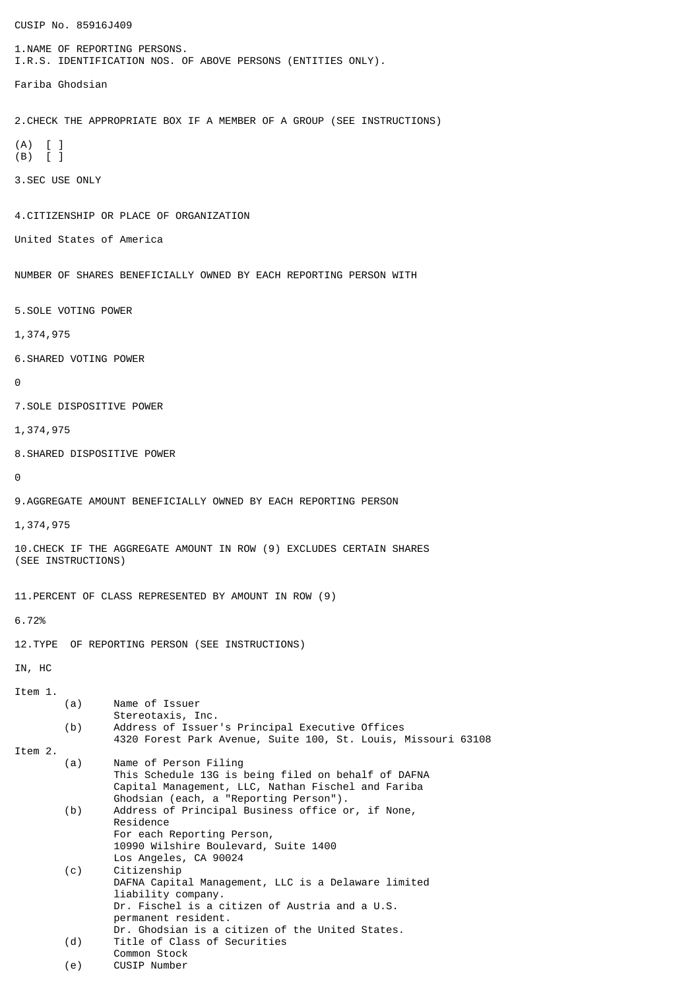CUSIP No. 85916J409 1.NAME OF REPORTING PERSONS. I.R.S. IDENTIFICATION NOS. OF ABOVE PERSONS (ENTITIES ONLY). Fariba Ghodsian 2.CHECK THE APPROPRIATE BOX IF A MEMBER OF A GROUP (SEE INSTRUCTIONS) (A) [ ] (B) [ ] 3.SEC USE ONLY 4.CITIZENSHIP OR PLACE OF ORGANIZATION United States of America NUMBER OF SHARES BENEFICIALLY OWNED BY EACH REPORTING PERSON WITH 5.SOLE VOTING POWER 1,374,975 6.SHARED VOTING POWER  $\Omega$ 7.SOLE DISPOSITIVE POWER 1,374,975 8.SHARED DISPOSITIVE POWER  $\boldsymbol{\Theta}$ 9.AGGREGATE AMOUNT BENEFICIALLY OWNED BY EACH REPORTING PERSON 1,374,975 10.CHECK IF THE AGGREGATE AMOUNT IN ROW (9) EXCLUDES CERTAIN SHARES (SEE INSTRUCTIONS) 11.PERCENT OF CLASS REPRESENTED BY AMOUNT IN ROW (9) 6.72% 12.TYPE OF REPORTING PERSON (SEE INSTRUCTIONS) IN, HC Item 1. (a) Name of Issuer Stereotaxis, Inc. (b) Address of Issuer's Principal Executive Offices 4320 Forest Park Avenue, Suite 100, St. Louis, Missouri 63108 Item 2. (a) Name of Person Filing This Schedule 13G is being filed on behalf of DAFNA Capital Management, LLC, Nathan Fischel and Fariba Ghodsian (each, a "Reporting Person"). (b) Address of Principal Business office or, if None, Residence For each Reporting Person, 10990 Wilshire Boulevard, Suite 1400 Los Angeles, CA 90024 (c) Citizenship DAFNA Capital Management, LLC is a Delaware limited liability company. Dr. Fischel is a citizen of Austria and a U.S. permanent resident. Dr. Ghodsian is a citizen of the United States. (d) Title of Class of Securities Common Stock (e) CUSIP Number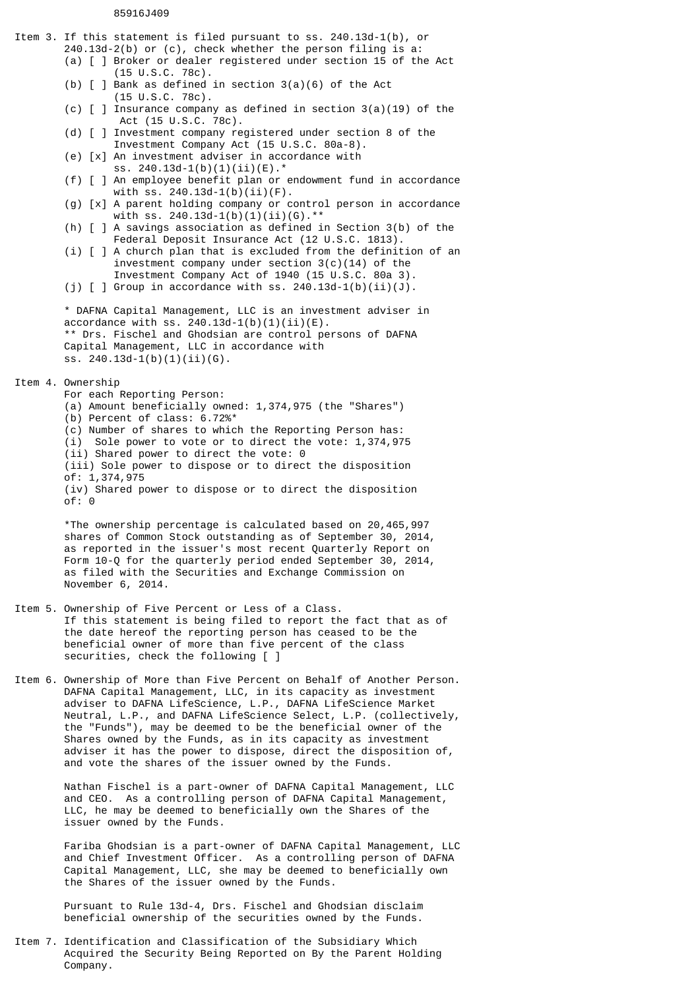## 85916J409

Item 3. If this statement is filed pursuant to ss. 240.13d-1(b), or 240.13d-2(b) or (c), check whether the person filing is a: (a) [ ] Broker or dealer registered under section 15 of the Act (15 U.S.C. 78c). (b)  $\lceil$   $\rceil$  Bank as defined in section 3(a)(6) of the Act (15 U.S.C. 78c). (c)  $\lceil$   $\rceil$  Insurance company as defined in section 3(a)(19) of the Act (15 U.S.C. 78c). (d) [ ] Investment company registered under section 8 of the Investment Company Act (15 U.S.C. 80a-8). (e) [x] An investment adviser in accordance with ss. 240.13d-1(b)(1)(ii)(E).\* (f) [ ] An employee benefit plan or endowment fund in accordance with ss. 240.13d-1(b)(ii)(F). (g) [x] A parent holding company or control person in accordance with ss. 240.13d-1(b)(1)(ii)(G).\*\* (h) [ ] A savings association as defined in Section 3(b) of the Federal Deposit Insurance Act (12 U.S.C. 1813). (i)  $\lceil$   $\rceil$  A church plan that is excluded from the definition of an investment company under section 3(c)(14) of the Investment Company Act of 1940 (15 U.S.C. 80a 3). (j)  $[ ]$  Group in accordance with ss. 240.13d-1(b)(ii)(J). \* DAFNA Capital Management, LLC is an investment adviser in accordance with ss. 240.13d-1(b)(1)(ii)(E). \*\* Drs. Fischel and Ghodsian are control persons of DAFNA Capital Management, LLC in accordance with ss. 240.13d-1(b)(1)(ii)(G). Item 4. Ownership For each Reporting Person: (a) Amount beneficially owned: 1,374,975 (the "Shares") (b) Percent of class: 6.72%\* (c) Number of shares to which the Reporting Person has: (i) Sole power to vote or to direct the vote: 1,374,975 (ii) Shared power to direct the vote: 0 (iii) Sole power to dispose or to direct the disposition of: 1,374,975 (iv) Shared power to dispose or to direct the disposition  $of: 0$ \*The ownership percentage is calculated based on 20,465,997 shares of Common Stock outstanding as of September 30, 2014, as reported in the issuer's most recent Quarterly Report on Form 10-Q for the quarterly period ended September 30, 2014, as filed with the Securities and Exchange Commission on November 6, 2014. Item 5. Ownership of Five Percent or Less of a Class. If this statement is being filed to report the fact that as of the date hereof the reporting person has ceased to be the beneficial owner of more than five percent of the class securities, check the following [ ] Item 6. Ownership of More than Five Percent on Behalf of Another Person. DAFNA Capital Management, LLC, in its capacity as investment adviser to DAFNA LifeScience, L.P., DAFNA LifeScience Market Neutral, L.P., and DAFNA LifeScience Select, L.P. (collectively, the "Funds"), may be deemed to be the beneficial owner of the Shares owned by the Funds, as in its capacity as investment adviser it has the power to dispose, direct the disposition of, and vote the shares of the issuer owned by the Funds.

> Nathan Fischel is a part-owner of DAFNA Capital Management, LLC and CEO. As a controlling person of DAFNA Capital Management, LLC, he may be deemed to beneficially own the Shares of the issuer owned by the Funds.

Fariba Ghodsian is a part-owner of DAFNA Capital Management, LLC and Chief Investment Officer. As a controlling person of DAFNA Capital Management, LLC, she may be deemed to beneficially own the Shares of the issuer owned by the Funds.

Pursuant to Rule 13d-4, Drs. Fischel and Ghodsian disclaim beneficial ownership of the securities owned by the Funds.

Item 7. Identification and Classification of the Subsidiary Which Acquired the Security Being Reported on By the Parent Holding Company.